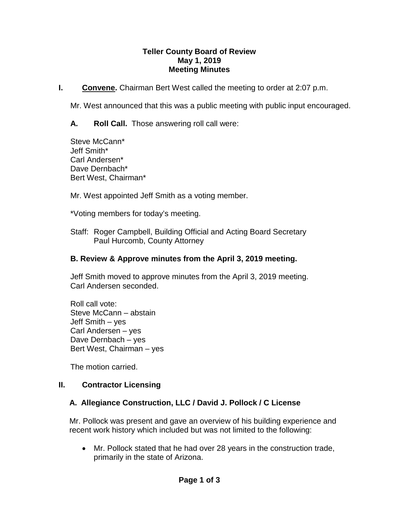#### **Teller County Board of Review May 1, 2019 Meeting Minutes**

**I. Convene.** Chairman Bert West called the meeting to order at 2:07 p.m.

Mr. West announced that this was a public meeting with public input encouraged.

**A. Roll Call.** Those answering roll call were:

Steve McCann\* Jeff Smith\* Carl Andersen\* Dave Dernbach\* Bert West, Chairman\*

Mr. West appointed Jeff Smith as a voting member.

\*Voting members for today's meeting.

Staff: Roger Campbell, Building Official and Acting Board Secretary Paul Hurcomb, County Attorney

## **B. Review & Approve minutes from the April 3, 2019 meeting.**

Jeff Smith moved to approve minutes from the April 3, 2019 meeting. Carl Andersen seconded.

Roll call vote: Steve McCann – abstain Jeff Smith – yes Carl Andersen – yes Dave Dernbach – yes Bert West, Chairman – yes

The motion carried.

#### **II. Contractor Licensing**

## **A. Allegiance Construction, LLC / David J. Pollock / C License**

Mr. Pollock was present and gave an overview of his building experience and recent work history which included but was not limited to the following:

• Mr. Pollock stated that he had over 28 years in the construction trade, primarily in the state of Arizona.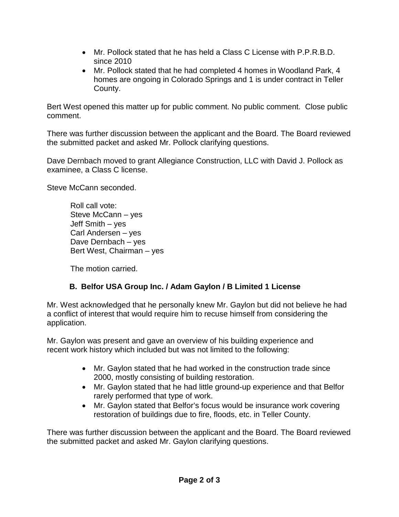- Mr. Pollock stated that he has held a Class C License with P.P.R.B.D. since 2010
- Mr. Pollock stated that he had completed 4 homes in Woodland Park, 4 homes are ongoing in Colorado Springs and 1 is under contract in Teller County.

Bert West opened this matter up for public comment. No public comment. Close public comment.

There was further discussion between the applicant and the Board. The Board reviewed the submitted packet and asked Mr. Pollock clarifying questions.

Dave Dernbach moved to grant Allegiance Construction, LLC with David J. Pollock as examinee, a Class C license.

Steve McCann seconded.

Roll call vote: Steve McCann – yes Jeff Smith – yes Carl Andersen – yes Dave Dernbach – yes Bert West, Chairman – yes

The motion carried.

# **B. Belfor USA Group Inc. / Adam Gaylon / B Limited 1 License**

Mr. West acknowledged that he personally knew Mr. Gaylon but did not believe he had a conflict of interest that would require him to recuse himself from considering the application.

Mr. Gaylon was present and gave an overview of his building experience and recent work history which included but was not limited to the following:

- Mr. Gaylon stated that he had worked in the construction trade since 2000, mostly consisting of building restoration.
- Mr. Gaylon stated that he had little ground-up experience and that Belfor rarely performed that type of work.
- Mr. Gaylon stated that Belfor's focus would be insurance work covering restoration of buildings due to fire, floods, etc. in Teller County.

There was further discussion between the applicant and the Board. The Board reviewed the submitted packet and asked Mr. Gaylon clarifying questions.